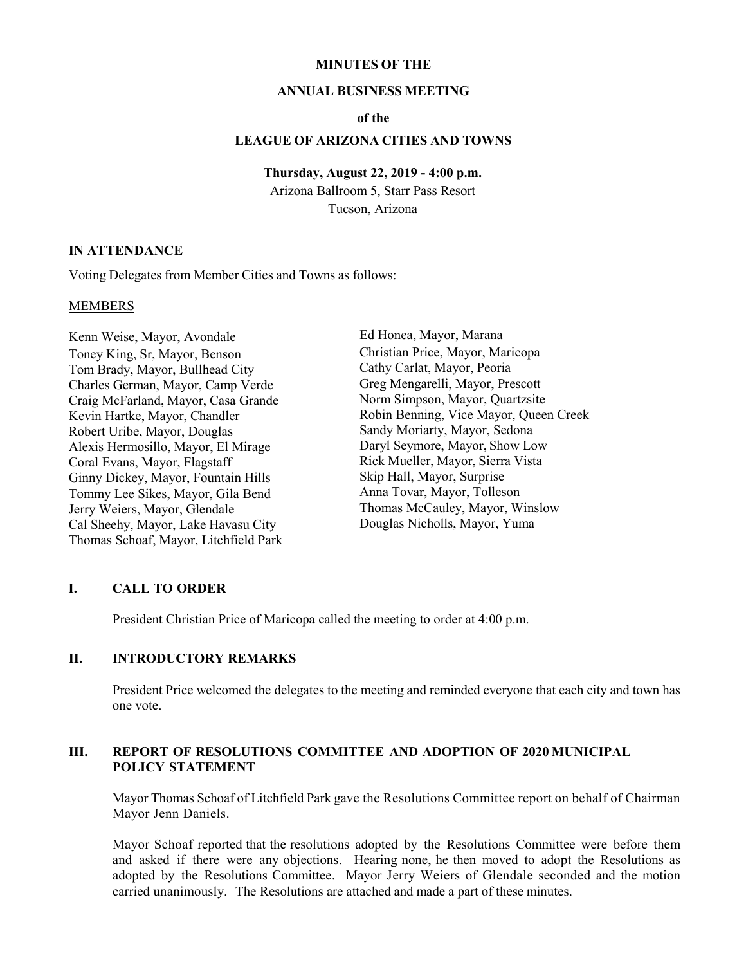#### **MINUTES OF THE**

#### **ANNUAL BUSINESS MEETING**

### **of the**

## **LEAGUE OF ARIZONA CITIES AND TOWNS**

#### **Thursday, August 22, 2019 - 4:00 p.m.**

Arizona Ballroom 5, Starr Pass Resort Tucson, Arizona

### **IN ATTENDANCE**

Voting Delegates from Member Cities and Towns as follows:

#### MEMBERS

Kenn Weise, Mayor, Avondale Toney King, Sr, Mayor, Benson Tom Brady, Mayor, Bullhead City Charles German, Mayor, Camp Verde Craig McFarland, Mayor, Casa Grande Kevin Hartke, Mayor, Chandler Robert Uribe, Mayor, Douglas Alexis Hermosillo, Mayor, El Mirage Coral Evans, Mayor, Flagstaff Ginny Dickey, Mayor, Fountain Hills Tommy Lee Sikes, Mayor, Gila Bend Jerry Weiers, Mayor, Glendale Cal Sheehy, Mayor, Lake Havasu City Thomas Schoaf, Mayor, Litchfield Park Ed Honea, Mayor, Marana Christian Price, Mayor, Maricopa Cathy Carlat, Mayor, Peoria Greg Mengarelli, Mayor, Prescott Norm Simpson, Mayor, Quartzsite Robin Benning, Vice Mayor, Queen Creek Sandy Moriarty, Mayor, Sedona Daryl Seymore, Mayor, Show Low Rick Mueller, Mayor, Sierra Vista Skip Hall, Mayor, Surprise Anna Tovar, Mayor, Tolleson Thomas McCauley, Mayor, Winslow Douglas Nicholls, Mayor, Yuma

### **I. CALL TO ORDER**

President Christian Price of Maricopa called the meeting to order at 4:00 p.m.

# **II. INTRODUCTORY REMARKS**

President Price welcomed the delegates to the meeting and reminded everyone that each city and town has one vote.

## **III. REPORT OF RESOLUTIONS COMMITTEE AND ADOPTION OF 2020 MUNICIPAL POLICY STATEMENT**

Mayor Thomas Schoaf of Litchfield Park gave the Resolutions Committee report on behalf of Chairman Mayor Jenn Daniels.

Mayor Schoaf reported that the resolutions adopted by the Resolutions Committee were before them and asked if there were any objections. Hearing none, he then moved to adopt the Resolutions as adopted by the Resolutions Committee. Mayor Jerry Weiers of Glendale seconded and the motion carried unanimously. The Resolutions are attached and made a part of these minutes.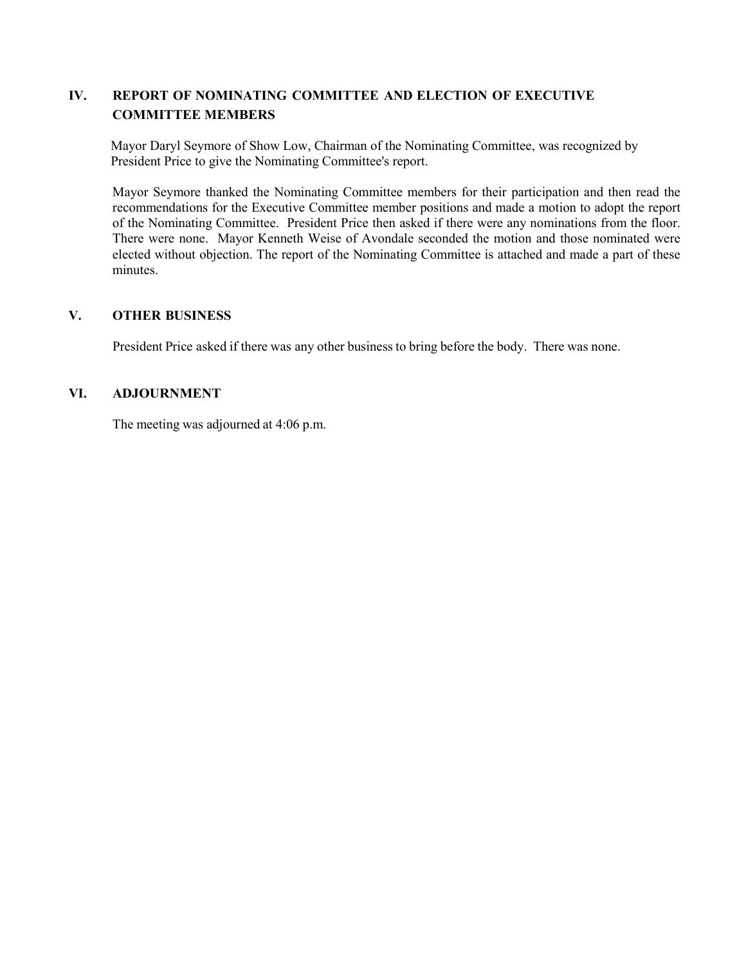# **IV. REPORT OF NOMINATING COMMITTEE AND ELECTION OF EXECUTIVE COMMITTEE MEMBERS**

Mayor Daryl Seymore of Show Low, Chairman of the Nominating Committee, was recognized by President Price to give the Nominating Committee's report.

Mayor Seymore thanked the Nominating Committee members for their participation and then read the recommendations for the Executive Committee member positions and made a motion to adopt the report of the Nominating Committee. President Price then asked if there were any nominations from the floor. There were none. Mayor Kenneth Weise of Avondale seconded the motion and those nominated were elected without objection. The report of the Nominating Committee is attached and made a part of these minutes.

# **V. OTHER BUSINESS**

President Price asked if there was any other business to bring before the body. There was none.

## **VI. ADJOURNMENT**

The meeting was adjourned at 4:06 p.m.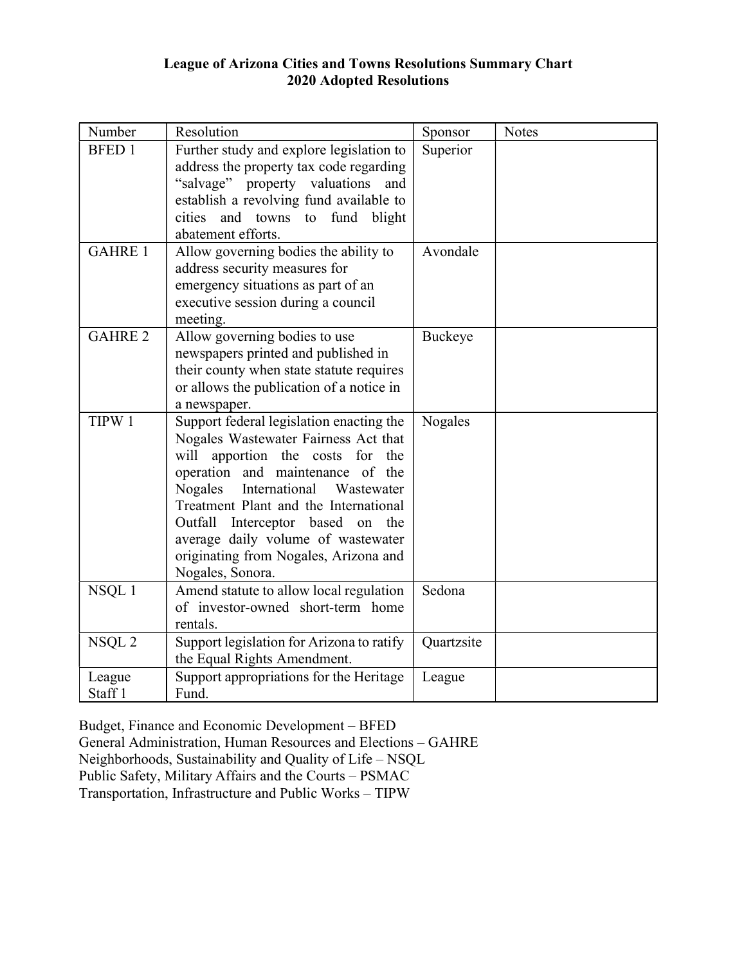# League of Arizona Cities and Towns Resolutions Summary Chart 2020 Adopted Resolutions

| Number                       | Resolution                                                                                                                                                                                                                                                                                                                                                                         | Sponsor    | <b>Notes</b> |
|------------------------------|------------------------------------------------------------------------------------------------------------------------------------------------------------------------------------------------------------------------------------------------------------------------------------------------------------------------------------------------------------------------------------|------------|--------------|
| <b>BFED 1</b>                | Further study and explore legislation to<br>address the property tax code regarding<br>"salvage"<br>property valuations<br>and<br>establish a revolving fund available to<br>and towns to fund blight<br>cities<br>abatement efforts.                                                                                                                                              | Superior   |              |
| <b>GAHRE 1</b>               | Allow governing bodies the ability to<br>address security measures for<br>emergency situations as part of an<br>executive session during a council<br>meeting.                                                                                                                                                                                                                     | Avondale   |              |
| <b>GAHRE 2</b>               | Allow governing bodies to use<br>newspapers printed and published in<br>their county when state statute requires<br>or allows the publication of a notice in<br>a newspaper.                                                                                                                                                                                                       | Buckeye    |              |
| TIPW 1                       | Support federal legislation enacting the<br>Nogales Wastewater Fairness Act that<br>will apportion the costs for the<br>operation and maintenance of the<br>International<br>Nogales<br>Wastewater<br>Treatment Plant and the International<br>Outfall Interceptor based on the<br>average daily volume of wastewater<br>originating from Nogales, Arizona and<br>Nogales, Sonora. | Nogales    |              |
| NSQL 1                       | Amend statute to allow local regulation<br>of investor-owned short-term home<br>rentals.                                                                                                                                                                                                                                                                                           | Sedona     |              |
| NSQL <sub>2</sub>            | Support legislation for Arizona to ratify<br>the Equal Rights Amendment.                                                                                                                                                                                                                                                                                                           | Quartzsite |              |
| League<br>Staff <sub>1</sub> | Support appropriations for the Heritage<br>Fund.                                                                                                                                                                                                                                                                                                                                   | League     |              |

Budget, Finance and Economic Development – BFED 

General Administration, Human Resources and Elections – GAHRE 

Neighborhoods, Sustainability and Quality of Life – NSQL 

Public Safety, Military Affairs and the Courts – PSMAC 

Transportation, Infrastructure and Public Works – TIPW